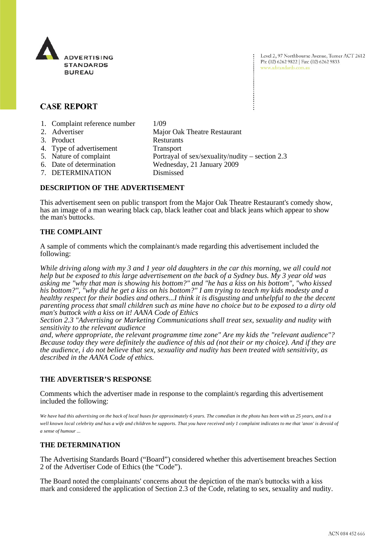

Level 2, 97 Northbourne Avenue, Turner ACT 2612 Ph: (02) 6262 9822 | Fax: (02) 6262 9833 www.adstandards.com.au

# **CASE REPORT**

- 1. Complaint reference number 1/09
- 2. Advertiser Major Oak Theatre Restaurant 3. Product Resturants
- 4. Type of advertisement Transport
- 5. Nature of complaint Portrayal of sex/sexuality/nudity section 2.3
- 6. Date of determination Wednesday, 21 January 2009
- 7. DETERMINATION Dismissed

## **DESCRIPTION OF THE ADVERTISEMENT**

This advertisement seen on public transport from the Major Oak Theatre Restaurant's comedy show, has an image of a man wearing black cap, black leather coat and black jeans which appear to show the man's buttocks.

## **THE COMPLAINT**

A sample of comments which the complainant/s made regarding this advertisement included the following:

*While driving along with my 3 and 1 year old daughters in the car this morning, we all could not help but be exposed to this large advertisement on the back of a Sydney bus. My 3 year old was asking me "why that man is showing his bottom?" and "he has a kiss on his bottom", "who kissed his bottom?", "why did he get a kiss on his bottom?" I am trying to teach my kids modesty and a healthy respect for their bodies and others...I think it is disgusting and unhelpful to the the decent parenting process that small children such as mine have no choice but to be exposed to a dirty old man's buttock with a kiss on it! AANA Code of Ethics*

*Section 2.3 "Advertising or Marketing Communications shall treat sex, sexuality and nudity with sensitivity to the relevant audience* 

*and, where appropriate, the relevant programme time zone" Are my kids the "relevant audience"? Because today they were definitely the audience of this ad (not their or my choice). And if they are the audience, i do not believe that sex, sexuality and nudity has been treated with sensitivity, as described in the AANA Code of ethics.* 

## **THE ADVERTISER'S RESPONSE**

Comments which the advertiser made in response to the complaint/s regarding this advertisement included the following:

*We have had this advertising on the back of local buses for approximately 6 years. The comedian in the photo has been with us 25 years, and is a well known local celebrity and has a wife and children he supports. That you have received only 1 complaint indicates to me that 'anon' is devoid of a sense of humour ...*

## **THE DETERMINATION**

The Advertising Standards Board ("Board") considered whether this advertisement breaches Section 2 of the Advertiser Code of Ethics (the "Code").

The Board noted the complainants' concerns about the depiction of the man's buttocks with a kiss mark and considered the application of Section 2.3 of the Code, relating to sex, sexuality and nudity.